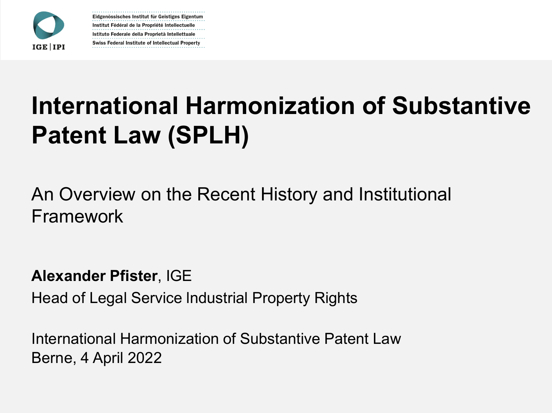

Eidgenössisches Institut für Geistiges Eigentum Institut Fédéral de la Propriété Intellectuelle Istituto Federale della Proprietà Intellettuale Swiss Federal Institute of Intellectual Property

# **International Harmonization of Substantive Patent Law (SPLH)**

An Overview on the Recent History and Institutional Framework

**Alexander Pfister**, IGE

Head of Legal Service lndustrial Property Rights

International Harmonization of Substantive Patent Law Berne, 4 April 2022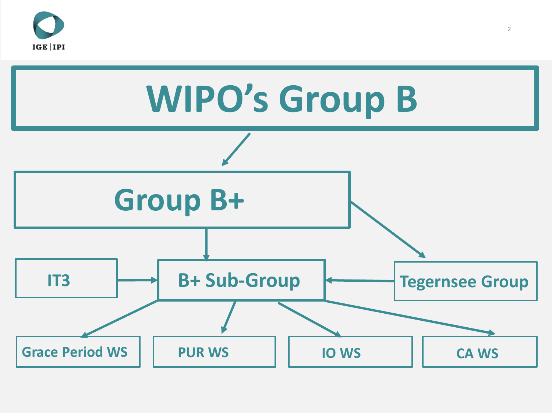

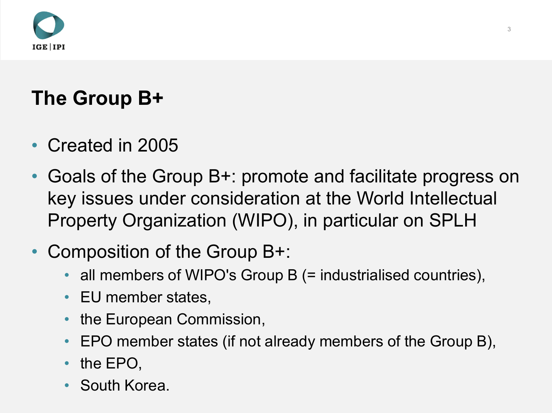

# **The Group B+**

- Created in 2005
- Goals of the Group B+: promote and facilitate progress on key issues under consideration at the World Intellectual Property Organization (WIPO), in particular on SPLH
- Composition of the Group B+:
	- all members of WIPO's Group B (= industrialised countries),
	- EU member states,
	- the European Commission,
	- EPO member states (if not already members of the Group B),
	- the EPO,
	- South Korea.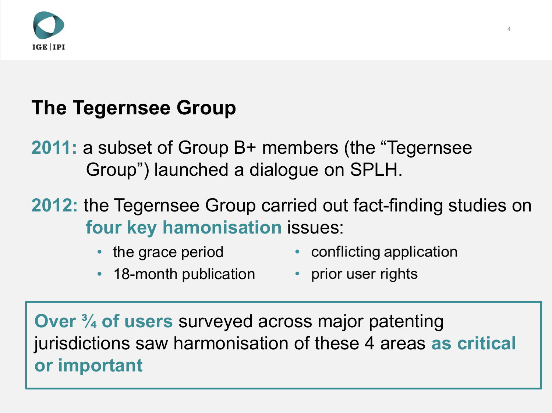

### **The Tegernsee Group**

**2011:** a subset of Group B+ members (the "Tegernsee Group") launched a dialogue on SPLH.

**2012:** the Tegernsee Group carried out fact-finding studies on **four key hamonisation** issues:

• the grace period

- conflicting application
- 18-month publication prior user rights
	-

**Over ¾ of users** surveyed across major patenting jurisdictions saw harmonisation of these 4 areas **as critical or important**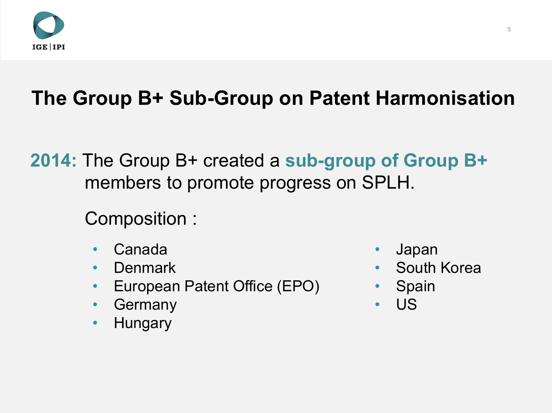

# **The Group B+ Sub-Group on Patent Harmonisation**

**2014:** The Group B+ created a **sub-group of Group B+**  members to promote progress on SPLH.

Composition :

- Canada
- Denmark
- European Patent Office (EPO)
- **Germany**
- Hungary
- Japan
- South Korea
- Spain
- US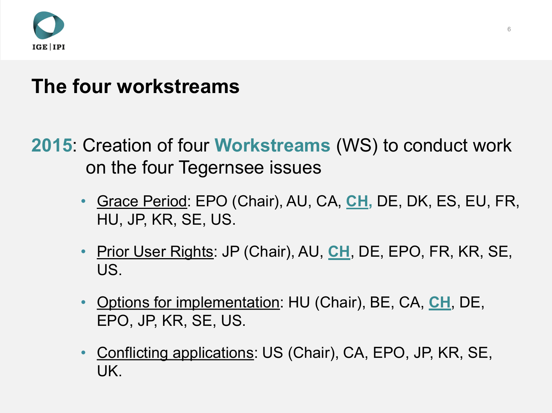

#### **The four workstreams**

#### **2015**: Creation of four **Workstreams** (WS) to conduct work on the four Tegernsee issues

- Grace Period: EPO (Chair), AU, CA, **CH,** DE, DK, ES, EU, FR, HU, JP, KR, SE, US.
- Prior User Rights: JP (Chair), AU, CH, DE, EPO, FR, KR, SE, US.
- Options for implementation: HU (Chair), BE, CA, **CH**, DE, EPO, JP, KR, SE, US.
- Conflicting applications: US (Chair), CA, EPO, JP, KR, SE, UK.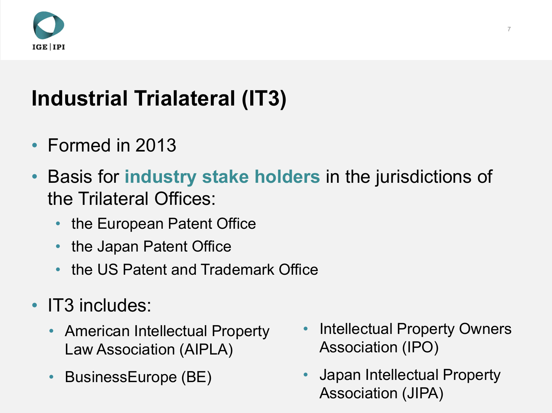

# **Industrial Trialateral (IT3)**

- Formed in 2013
- Basis for **industry stake holders** in the jurisdictions of the Trilateral Offices:
	- the European Patent Office
	- the Japan Patent Office
	- the US Patent and Trademark Office
- IT3 includes:
	- American Intellectual Property Law Association (AIPLA)
	- BusinessEurope (BE)
- Intellectual Property Owners Association (IPO)
- Japan Intellectual Property Association (JIPA)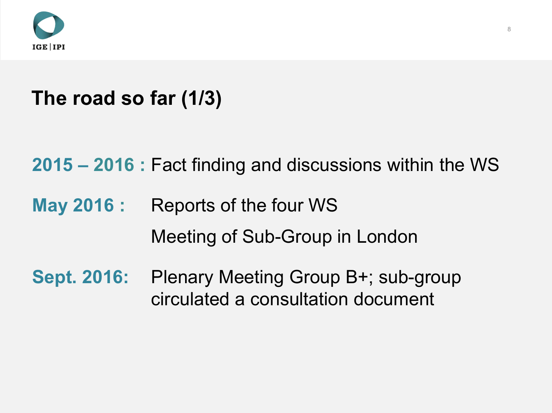

### **The road so far (1/3)**

**2015 – 2016 :** Fact finding and discussions within the WS

**May 2016 :** Reports of the four WS

Meeting of Sub-Group in London

**Sept. 2016:** Plenary Meeting Group B+; sub-group circulated a consultation document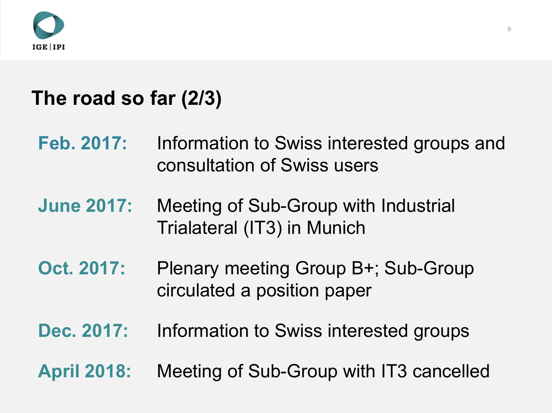

#### **The road so far (2/3)**

- **Feb. 2017:** Information to Swiss interested groups and consultation of Swiss users
- **June 2017:** Meeting of Sub-Group with Industrial Trialateral (IT3) in Munich
- **Oct. 2017:** Plenary meeting Group B+; Sub-Group circulated a position paper
- **Dec. 2017:** Information to Swiss interested groups
- **April 2018:** Meeting of Sub-Group with IT3 cancelled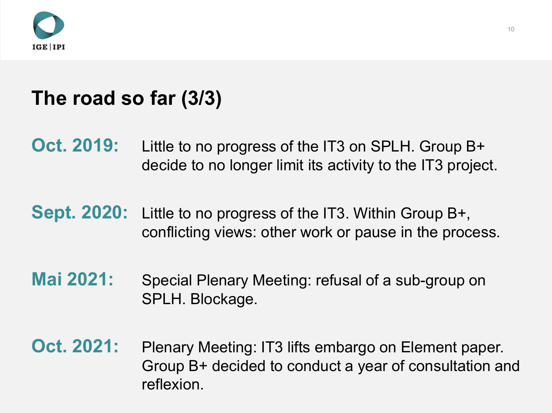

#### **The road so far (3/3)**

- **Oct. 2019:** Little to no progress of the IT3 on SPLH. Group B+ decide to no longer limit its activity to the IT3 project.
- **Sept. 2020:** Little to no progress of the IT3. Within Group B+, conflicting views: other work or pause in the process.
- **Mai 2021:** Special Plenary Meeting: refusal of a sub-group on SPLH. Blockage.
- **Oct. 2021:** Plenary Meeting: IT3 lifts embargo on Element paper. Group B+ decided to conduct a year of consultation and reflexion.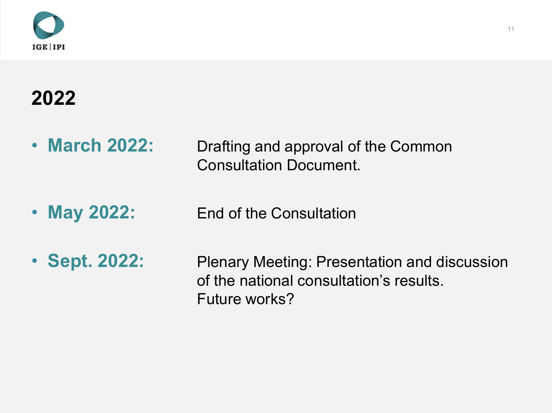

# **2022**

- **March 2022:** Drafting and approval of the Common Consultation Document.
- May 2022: End of the Consultation
- **Sept. 2022:** Plenary Meeting: Presentation and discussion of the national consultation's results. Future works?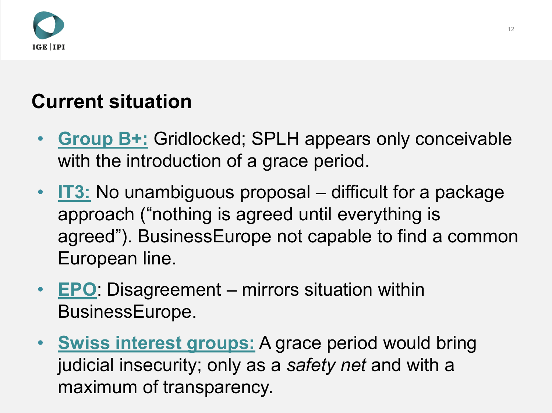

### **Current situation**

- **Group B+:** Gridlocked; SPLH appears only conceivable with the introduction of a grace period.
- **IT3:** No unambiguous proposal difficult for a package approach ("nothing is agreed until everything is agreed"). BusinessEurope not capable to find a common European line.
- **EPO**: Disagreement mirrors situation within BusinessEurope.
- **Swiss interest groups:** A grace period would bring judicial insecurity; only as a *safety net* and with a maximum of transparency.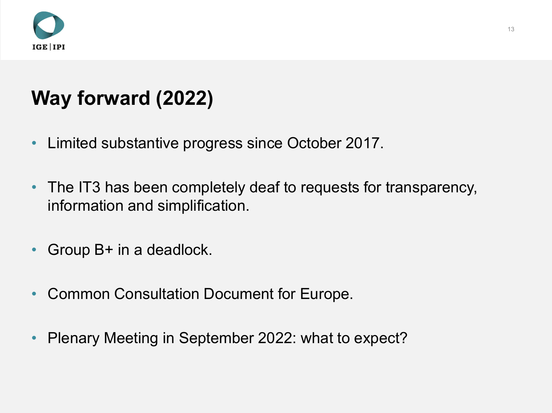

## **Way forward (2022)**

- Limited substantive progress since October 2017.
- The IT3 has been completely deaf to requests for transparency, information and simplification.
- Group B+ in a deadlock.
- Common Consultation Document for Europe.
- Plenary Meeting in September 2022: what to expect?